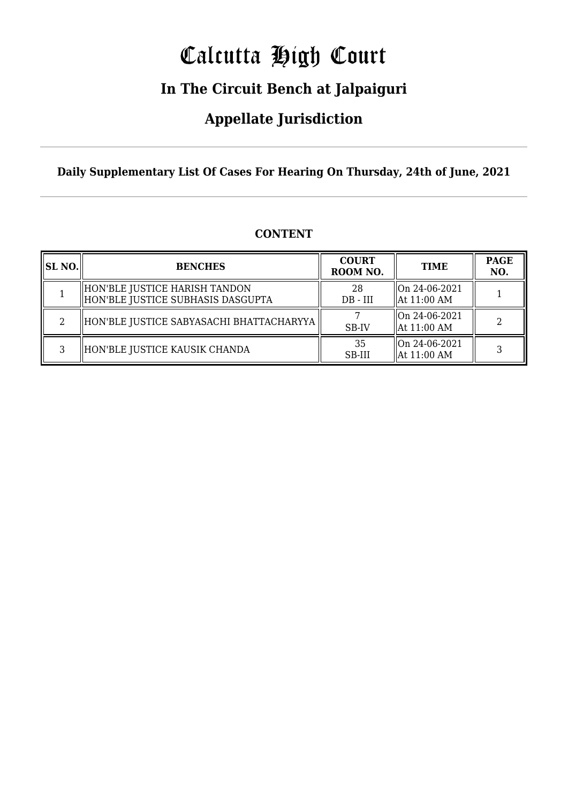# Calcutta High Court

### **In The Circuit Bench at Jalpaiguri**

### **Appellate Jurisdiction**

**Daily Supplementary List Of Cases For Hearing On Thursday, 24th of June, 2021**

| <b>SL NO.</b> | <b>BENCHES</b>                                                       | <b>COURT</b><br>ROOM NO. | <b>TIME</b>                    | <b>PAGE</b><br>NO. |
|---------------|----------------------------------------------------------------------|--------------------------|--------------------------------|--------------------|
|               | HON'BLE JUSTICE HARISH TANDON<br>  HON'BLE JUSTICE SUBHASIS DASGUPTA | 28<br>$DB$ - $III$       | On 24-06-2021<br>  At 11:00 AM |                    |
|               | HON'BLE JUSTICE SABYASACHI BHATTACHARYYA                             | SB-IV                    | On 24-06-2021<br>  At 11:00 AM |                    |
| 3             | HON'BLE JUSTICE KAUSIK CHANDA                                        | 35<br>SB-III             | On 24-06-2021<br>  At 11:00 AM |                    |

#### **CONTENT**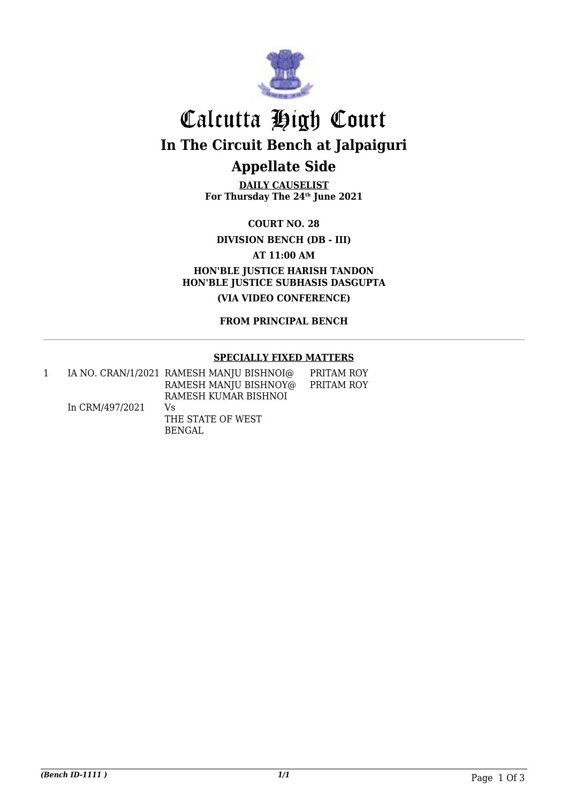

## Calcutta High Court **In The Circuit Bench at Jalpaiguri Appellate Side**

**DAILY CAUSELIST For Thursday The 24th June 2021**

**COURT NO. 28**

**DIVISION BENCH (DB - III)**

**AT 11:00 AM**

**HON'BLE JUSTICE HARISH TANDON HON'BLE JUSTICE SUBHASIS DASGUPTA**

**(VIA VIDEO CONFERENCE)**

**FROM PRINCIPAL BENCH**

#### **SPECIALLY FIXED MATTERS**

|                 | IA NO. CRAN/1/2021 RAMESH MANJU BISHNOI@ | PRITAM ROY |
|-----------------|------------------------------------------|------------|
|                 | RAMESH MANJU BISHNOY@                    | PRITAM ROY |
|                 | RAMESH KUMAR BISHNOI                     |            |
| In CRM/497/2021 | Vs.                                      |            |
|                 | THE STATE OF WEST                        |            |
|                 | BENGAL                                   |            |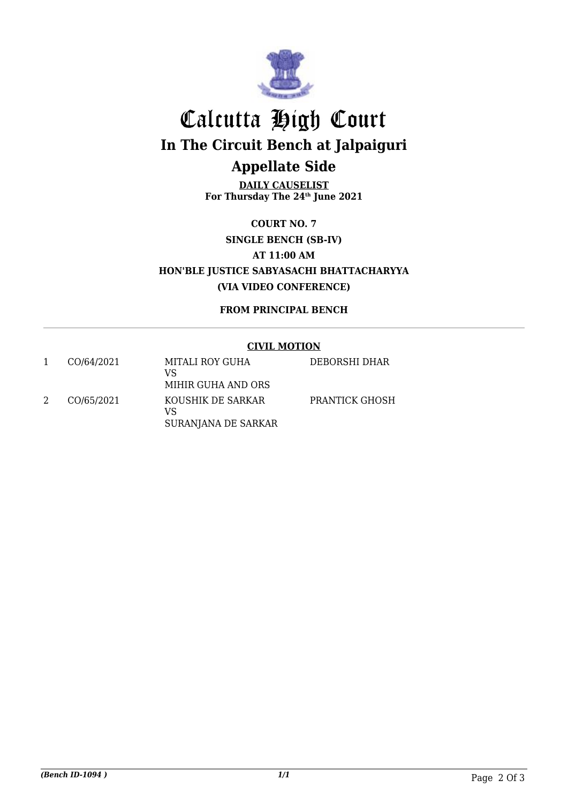

## Calcutta High Court **In The Circuit Bench at Jalpaiguri Appellate Side**

**DAILY CAUSELIST For Thursday The 24th June 2021**

**COURT NO. 7 SINGLE BENCH (SB-IV) AT 11:00 AM HON'BLE JUSTICE SABYASACHI BHATTACHARYYA (VIA VIDEO CONFERENCE)**

**FROM PRINCIPAL BENCH**

#### **CIVIL MOTION**

| CO/64/2021 | MITALI ROY GUHA<br>VS<br>MIHIR GUHA AND ORS    | DEBORSHI DHAR  |
|------------|------------------------------------------------|----------------|
| CO/65/2021 | KOUSHIK DE SARKAR<br>VS<br>SURANJANA DE SARKAR | PRANTICK GHOSH |